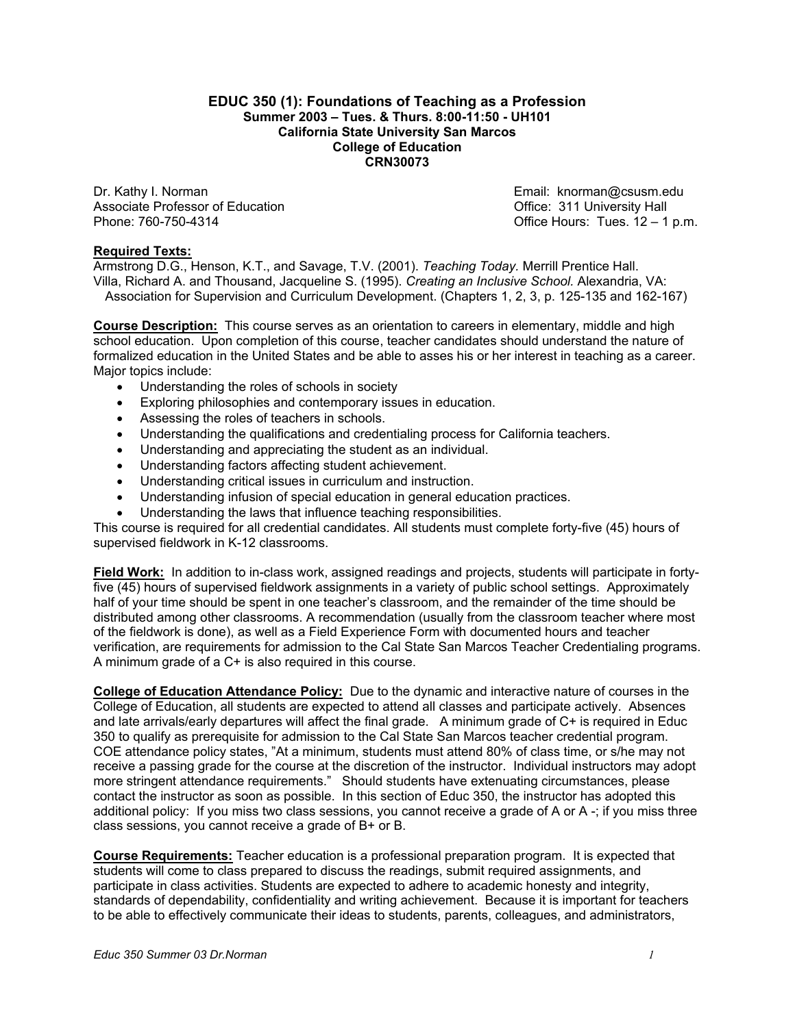#### **EDUC 350 (1): Foundations of Teaching as a Profession Summer 2003 – Tues. & Thurs. 8:00-11:50 - UH101 California State University San Marcos College of Education CRN30073**

Dr. Kathy I. Norman Communistic Communistic Communistic Communistic Communistic Communistic Communistic Communist<br>
Design Associate Professor of Education Communistic Communistic Communistic Communistic Communistic Communi Associate Professor of Education

Phone: 760-750-4314 Office Hours: Tues. 12 – 1 p.m.

#### **Required Texts:**

Armstrong D.G., Henson, K.T., and Savage, T.V. (2001). *Teaching Today.* Merrill Prentice Hall. Villa, Richard A. and Thousand, Jacqueline S. (1995). *Creating an Inclusive School.* Alexandria, VA: Association for Supervision and Curriculum Development. (Chapters 1, 2, 3, p. 125-135 and 162-167)

**Course Description:** This course serves as an orientation to careers in elementary, middle and high school education. Upon completion of this course, teacher candidates should understand the nature of formalized education in the United States and be able to asses his or her interest in teaching as a career. Major topics include:

- Understanding the roles of schools in society
- Exploring philosophies and contemporary issues in education.
- Assessing the roles of teachers in schools.
- Understanding the qualifications and credentialing process for California teachers.
- Understanding and appreciating the student as an individual.
- Understanding factors affecting student achievement.
- Understanding critical issues in curriculum and instruction.
- Understanding infusion of special education in general education practices.
- Understanding the laws that influence teaching responsibilities.

This course is required for all credential candidates. All students must complete forty-five (45) hours of supervised fieldwork in K-12 classrooms.

**Field Work:** In addition to in-class work, assigned readings and projects, students will participate in fortyfive (45) hours of supervised fieldwork assignments in a variety of public school settings. Approximately half of your time should be spent in one teacher's classroom, and the remainder of the time should be distributed among other classrooms. A recommendation (usually from the classroom teacher where most of the fieldwork is done), as well as a Field Experience Form with documented hours and teacher verification, are requirements for admission to the Cal State San Marcos Teacher Credentialing programs. A minimum grade of a C+ is also required in this course.

**College of Education Attendance Policy:** Due to the dynamic and interactive nature of courses in the College of Education, all students are expected to attend all classes and participate actively. Absences and late arrivals/early departures will affect the final grade. A minimum grade of C+ is required in Educ 350 to qualify as prerequisite for admission to the Cal State San Marcos teacher credential program. COE attendance policy states, "At a minimum, students must attend 80% of class time, or s/he may not receive a passing grade for the course at the discretion of the instructor. Individual instructors may adopt more stringent attendance requirements." Should students have extenuating circumstances, please contact the instructor as soon as possible. In this section of Educ 350, the instructor has adopted this additional policy: If you miss two class sessions, you cannot receive a grade of A or A -; if you miss three class sessions, you cannot receive a grade of B+ or B.

**Course Requirements:** Teacher education is a professional preparation program. It is expected that students will come to class prepared to discuss the readings, submit required assignments, and participate in class activities. Students are expected to adhere to academic honesty and integrity, standards of dependability, confidentiality and writing achievement. Because it is important for teachers to be able to effectively communicate their ideas to students, parents, colleagues, and administrators,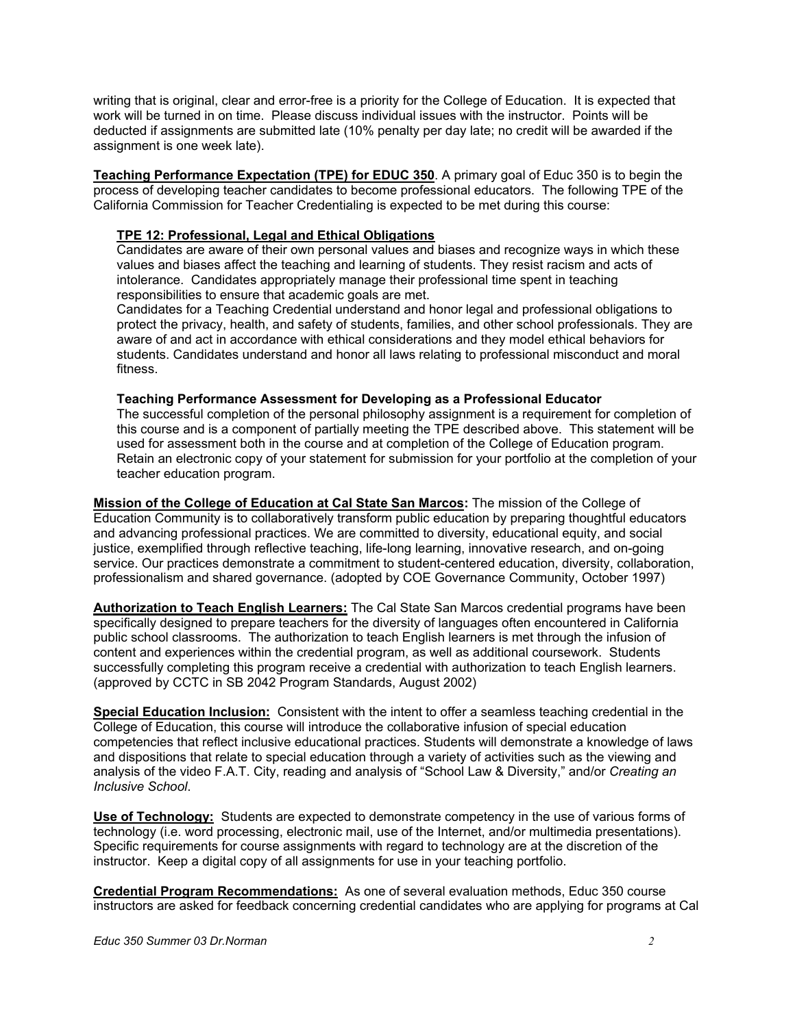writing that is original, clear and error-free is a priority for the College of Education. It is expected that work will be turned in on time. Please discuss individual issues with the instructor. Points will be deducted if assignments are submitted late (10% penalty per day late; no credit will be awarded if the assignment is one week late).

**Teaching Performance Expectation (TPE) for EDUC 350**. A primary goal of Educ 350 is to begin the process of developing teacher candidates to become professional educators. The following TPE of the California Commission for Teacher Credentialing is expected to be met during this course:

#### **TPE 12: Professional, Legal and Ethical Obligations**

Candidates are aware of their own personal values and biases and recognize ways in which these values and biases affect the teaching and learning of students. They resist racism and acts of intolerance. Candidates appropriately manage their professional time spent in teaching responsibilities to ensure that academic goals are met.

Candidates for a Teaching Credential understand and honor legal and professional obligations to protect the privacy, health, and safety of students, families, and other school professionals. They are aware of and act in accordance with ethical considerations and they model ethical behaviors for students. Candidates understand and honor all laws relating to professional misconduct and moral fitness.

#### **Teaching Performance Assessment for Developing as a Professional Educator**

The successful completion of the personal philosophy assignment is a requirement for completion of this course and is a component of partially meeting the TPE described above. This statement will be used for assessment both in the course and at completion of the College of Education program. Retain an electronic copy of your statement for submission for your portfolio at the completion of your teacher education program.

**Mission of the College of Education at Cal State San Marcos:** The mission of the College of Education Community is to collaboratively transform public education by preparing thoughtful educators and advancing professional practices. We are committed to diversity, educational equity, and social justice, exemplified through reflective teaching, life-long learning, innovative research, and on-going service. Our practices demonstrate a commitment to student-centered education, diversity, collaboration, professionalism and shared governance. (adopted by COE Governance Community, October 1997)

**Authorization to Teach English Learners:** The Cal State San Marcos credential programs have been specifically designed to prepare teachers for the diversity of languages often encountered in California public school classrooms. The authorization to teach English learners is met through the infusion of content and experiences within the credential program, as well as additional coursework. Students successfully completing this program receive a credential with authorization to teach English learners. (approved by CCTC in SB 2042 Program Standards, August 2002)

**Special Education Inclusion:** Consistent with the intent to offer a seamless teaching credential in the College of Education, this course will introduce the collaborative infusion of special education competencies that reflect inclusive educational practices. Students will demonstrate a knowledge of laws and dispositions that relate to special education through a variety of activities such as the viewing and analysis of the video F.A.T. City, reading and analysis of "School Law & Diversity," and/or *Creating an Inclusive School*.

**Use of Technology:** Students are expected to demonstrate competency in the use of various forms of technology (i.e. word processing, electronic mail, use of the Internet, and/or multimedia presentations). Specific requirements for course assignments with regard to technology are at the discretion of the instructor. Keep a digital copy of all assignments for use in your teaching portfolio.

**Credential Program Recommendations:** As one of several evaluation methods, Educ 350 course instructors are asked for feedback concerning credential candidates who are applying for programs at Cal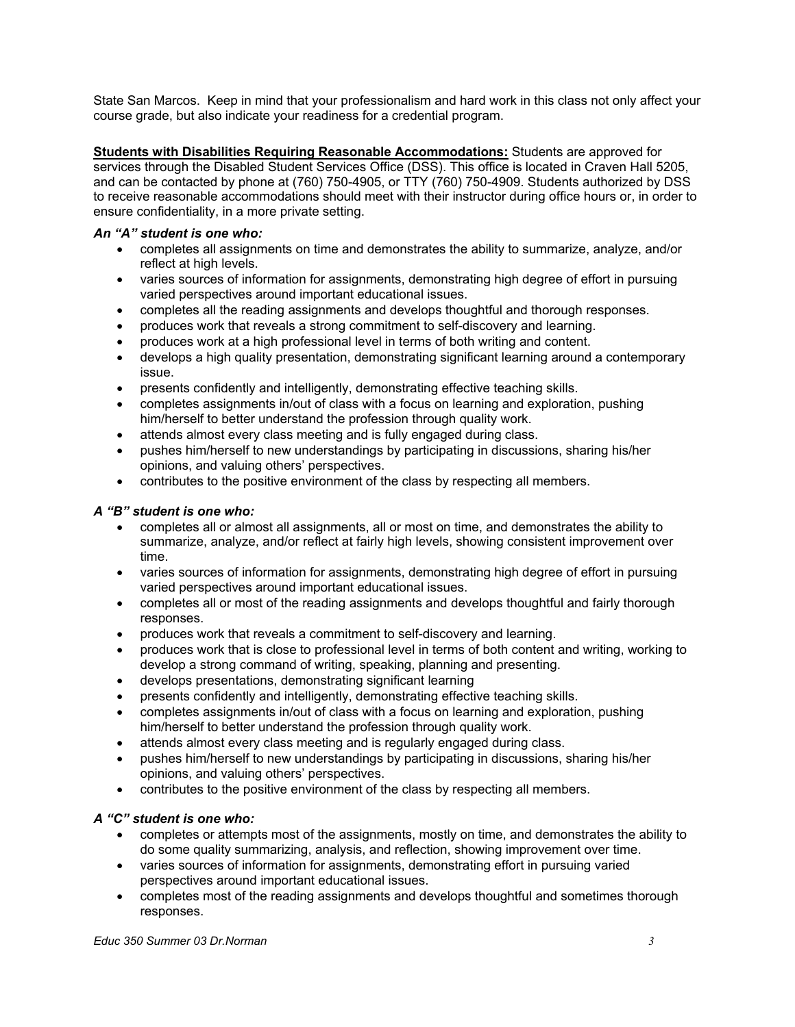State San Marcos. Keep in mind that your professionalism and hard work in this class not only affect your course grade, but also indicate your readiness for a credential program.

**Students with Disabilities Requiring Reasonable Accommodations:** Students are approved for services through the Disabled Student Services Office (DSS). This office is located in Craven Hall 5205, and can be contacted by phone at (760) 750-4905, or TTY (760) 750-4909. Students authorized by DSS to receive reasonable accommodations should meet with their instructor during office hours or, in order to ensure confidentiality, in a more private setting.

## *An "A" student is one who:*

- completes all assignments on time and demonstrates the ability to summarize, analyze, and/or reflect at high levels.
- varies sources of information for assignments, demonstrating high degree of effort in pursuing varied perspectives around important educational issues.
- completes all the reading assignments and develops thoughtful and thorough responses.
- produces work that reveals a strong commitment to self-discovery and learning.
- produces work at a high professional level in terms of both writing and content.
- develops a high quality presentation, demonstrating significant learning around a contemporary issue.
- presents confidently and intelligently, demonstrating effective teaching skills.
- completes assignments in/out of class with a focus on learning and exploration, pushing him/herself to better understand the profession through quality work.
- attends almost every class meeting and is fully engaged during class.
- pushes him/herself to new understandings by participating in discussions, sharing his/her opinions, and valuing others' perspectives.
- contributes to the positive environment of the class by respecting all members.

## *A "B" student is one who:*

- completes all or almost all assignments, all or most on time, and demonstrates the ability to summarize, analyze, and/or reflect at fairly high levels, showing consistent improvement over time.
- varies sources of information for assignments, demonstrating high degree of effort in pursuing varied perspectives around important educational issues.
- completes all or most of the reading assignments and develops thoughtful and fairly thorough responses.
- produces work that reveals a commitment to self-discovery and learning.
- produces work that is close to professional level in terms of both content and writing, working to develop a strong command of writing, speaking, planning and presenting.
- develops presentations, demonstrating significant learning
- presents confidently and intelligently, demonstrating effective teaching skills.
- completes assignments in/out of class with a focus on learning and exploration, pushing him/herself to better understand the profession through quality work.
- attends almost every class meeting and is regularly engaged during class.
- pushes him/herself to new understandings by participating in discussions, sharing his/her opinions, and valuing others' perspectives.
- contributes to the positive environment of the class by respecting all members.

## *A "C" student is one who:*

- completes or attempts most of the assignments, mostly on time, and demonstrates the ability to do some quality summarizing, analysis, and reflection, showing improvement over time.
- varies sources of information for assignments, demonstrating effort in pursuing varied perspectives around important educational issues.
- completes most of the reading assignments and develops thoughtful and sometimes thorough responses.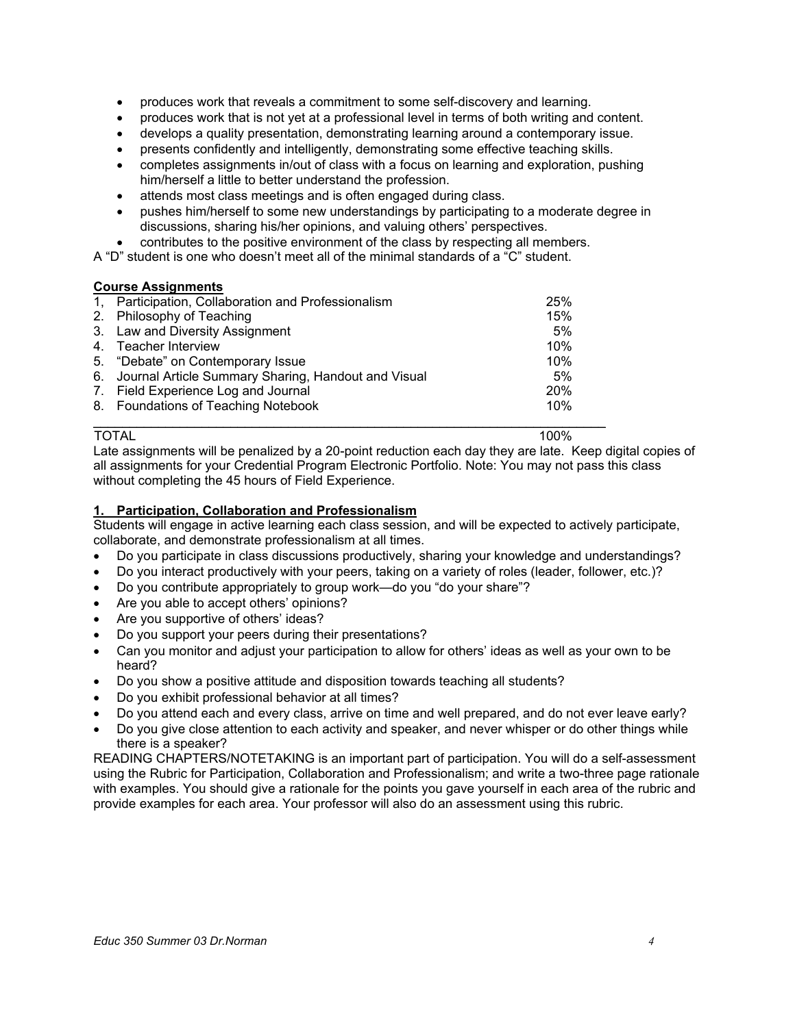- produces work that reveals a commitment to some self-discovery and learning.
- produces work that is not yet at a professional level in terms of both writing and content.
- develops a quality presentation, demonstrating learning around a contemporary issue.
- presents confidently and intelligently, demonstrating some effective teaching skills.
- completes assignments in/out of class with a focus on learning and exploration, pushing him/herself a little to better understand the profession.
- attends most class meetings and is often engaged during class.
- pushes him/herself to some new understandings by participating to a moderate degree in discussions, sharing his/her opinions, and valuing others' perspectives.
- contributes to the positive environment of the class by respecting all members.

A "D" student is one who doesn't meet all of the minimal standards of a "C" student.

#### **Course Assignments**

| 1, Participation, Collaboration and Professionalism    | 25% |
|--------------------------------------------------------|-----|
| 2. Philosophy of Teaching                              | 15% |
| 3. Law and Diversity Assignment                        | 5%  |
| 4. Teacher Interview                                   | 10% |
| 5. "Debate" on Contemporary Issue                      | 10% |
| 6. Journal Article Summary Sharing, Handout and Visual | 5%  |
| 7. Field Experience Log and Journal                    | 20% |
| 8. Foundations of Teaching Notebook                    | 10% |
|                                                        |     |

#### TOTAL 100%

Late assignments will be penalized by a 20-point reduction each day they are late. Keep digital copies of all assignments for your Credential Program Electronic Portfolio. Note: You may not pass this class without completing the 45 hours of Field Experience.

## **1. Participation, Collaboration and Professionalism**

Students will engage in active learning each class session, and will be expected to actively participate, collaborate, and demonstrate professionalism at all times.

- Do you participate in class discussions productively, sharing your knowledge and understandings?
- Do you interact productively with your peers, taking on a variety of roles (leader, follower, etc.)?
- Do you contribute appropriately to group work—do you "do your share"?
- Are you able to accept others' opinions?
- Are you supportive of others' ideas?
- Do you support your peers during their presentations?
- Can you monitor and adjust your participation to allow for others' ideas as well as your own to be heard?
- Do you show a positive attitude and disposition towards teaching all students?
- Do you exhibit professional behavior at all times?
- Do you attend each and every class, arrive on time and well prepared, and do not ever leave early?
- Do you give close attention to each activity and speaker, and never whisper or do other things while there is a speaker?

READING CHAPTERS/NOTETAKING is an important part of participation. You will do a self-assessment using the Rubric for Participation, Collaboration and Professionalism; and write a two-three page rationale with examples. You should give a rationale for the points you gave yourself in each area of the rubric and provide examples for each area. Your professor will also do an assessment using this rubric.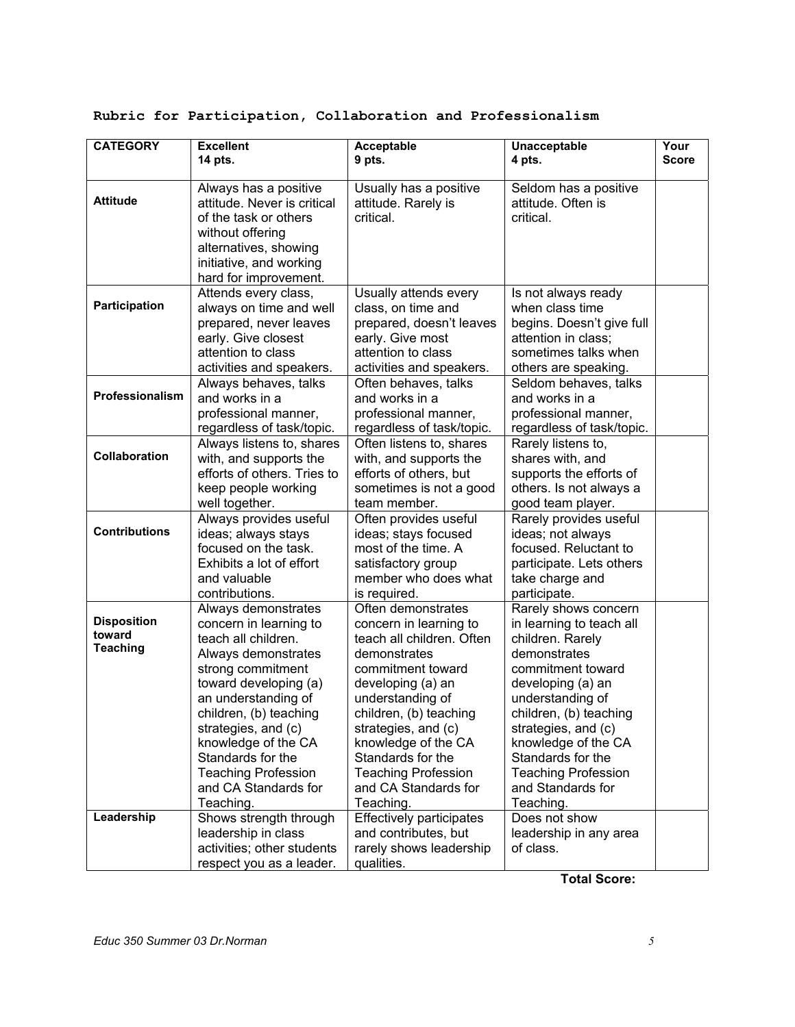| <b>CATEGORY</b>              | <b>Excellent</b>            | <b>Acceptable</b>               | <b>Unacceptable</b>        | Your         |
|------------------------------|-----------------------------|---------------------------------|----------------------------|--------------|
|                              | 14 pts.                     | 9 pts.                          | 4 pts.                     | <b>Score</b> |
|                              |                             |                                 |                            |              |
|                              | Always has a positive       | Usually has a positive          | Seldom has a positive      |              |
| <b>Attitude</b>              | attitude. Never is critical | attitude. Rarely is             | attitude. Often is         |              |
|                              | of the task or others       | critical.                       | critical.                  |              |
|                              | without offering            |                                 |                            |              |
|                              | alternatives, showing       |                                 |                            |              |
|                              | initiative, and working     |                                 |                            |              |
|                              | hard for improvement.       |                                 |                            |              |
|                              | Attends every class,        | Usually attends every           | Is not always ready        |              |
| Participation                | always on time and well     | class, on time and              | when class time            |              |
|                              | prepared, never leaves      | prepared, doesn't leaves        | begins. Doesn't give full  |              |
|                              | early. Give closest         | early. Give most                | attention in class;        |              |
|                              | attention to class          | attention to class              | sometimes talks when       |              |
|                              | activities and speakers.    | activities and speakers.        | others are speaking.       |              |
|                              | Always behaves, talks       | Often behaves, talks            | Seldom behaves, talks      |              |
| Professionalism              | and works in a              | and works in a                  | and works in a             |              |
|                              | professional manner,        | professional manner,            | professional manner,       |              |
|                              | regardless of task/topic.   | regardless of task/topic.       | regardless of task/topic.  |              |
|                              | Always listens to, shares   | Often listens to, shares        | Rarely listens to,         |              |
| Collaboration                | with, and supports the      | with, and supports the          | shares with, and           |              |
|                              | efforts of others. Tries to | efforts of others, but          | supports the efforts of    |              |
|                              | keep people working         | sometimes is not a good         | others. Is not always a    |              |
|                              | well together.              | team member.                    | good team player.          |              |
|                              | Always provides useful      | Often provides useful           | Rarely provides useful     |              |
| <b>Contributions</b>         | ideas; always stays         | ideas; stays focused            | ideas; not always          |              |
|                              | focused on the task.        | most of the time. A             | focused. Reluctant to      |              |
|                              | Exhibits a lot of effort    | satisfactory group              | participate. Lets others   |              |
|                              | and valuable                | member who does what            | take charge and            |              |
|                              | contributions.              | is required.                    | participate.               |              |
|                              | Always demonstrates         | Often demonstrates              | Rarely shows concern       |              |
| <b>Disposition</b><br>toward | concern in learning to      | concern in learning to          | in learning to teach all   |              |
| <b>Teaching</b>              | teach all children.         | teach all children. Often       | children. Rarely           |              |
|                              | Always demonstrates         | demonstrates                    | demonstrates               |              |
|                              | strong commitment           | commitment toward               | commitment toward          |              |
|                              | toward developing (a)       | developing (a) an               | developing (a) an          |              |
|                              | an understanding of         | understanding of                | understanding of           |              |
|                              | children, (b) teaching      | children, (b) teaching          | children, (b) teaching     |              |
|                              | strategies, and (c)         | strategies, and (c)             | strategies, and (c)        |              |
|                              | knowledge of the CA         | knowledge of the CA             | knowledge of the CA        |              |
|                              | Standards for the           | Standards for the               | Standards for the          |              |
|                              | <b>Teaching Profession</b>  | <b>Teaching Profession</b>      | <b>Teaching Profession</b> |              |
|                              | and CA Standards for        | and CA Standards for            | and Standards for          |              |
|                              | Teaching.                   | Teaching.                       | Teaching.                  |              |
| Leadership                   | Shows strength through      | <b>Effectively participates</b> | Does not show              |              |
|                              | leadership in class         | and contributes, but            | leadership in any area     |              |
|                              | activities; other students  | rarely shows leadership         | of class.                  |              |
|                              | respect you as a leader.    | qualities.                      |                            |              |

# **Rubric for Participation, Collaboration and Professionalism**

 **Total Score:**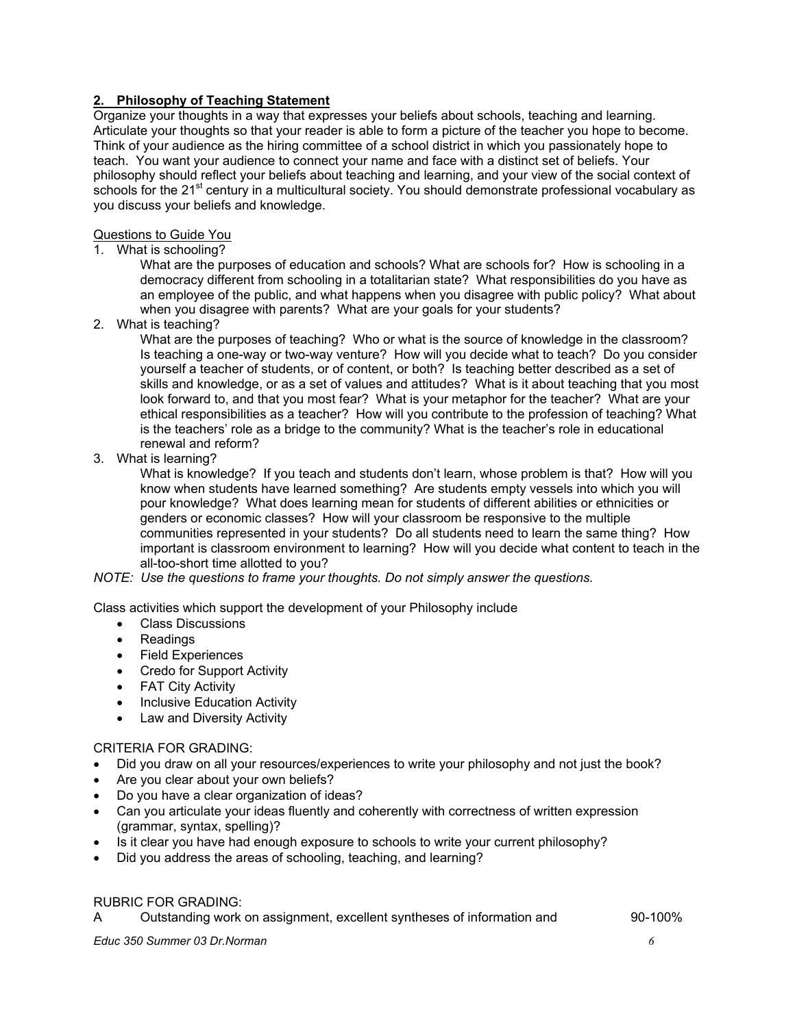## **2. Philosophy of Teaching Statement**

Organize your thoughts in a way that expresses your beliefs about schools, teaching and learning. Articulate your thoughts so that your reader is able to form a picture of the teacher you hope to become. Think of your audience as the hiring committee of a school district in which you passionately hope to teach. You want your audience to connect your name and face with a distinct set of beliefs. Your philosophy should reflect your beliefs about teaching and learning, and your view of the social context of schools for the 21<sup>st</sup> century in a multicultural society. You should demonstrate professional vocabulary as you discuss your beliefs and knowledge.

## Questions to Guide You

1. What is schooling?

What are the purposes of education and schools? What are schools for? How is schooling in a democracy different from schooling in a totalitarian state? What responsibilities do you have as an employee of the public, and what happens when you disagree with public policy? What about when you disagree with parents? What are your goals for your students?

2. What is teaching?

What are the purposes of teaching? Who or what is the source of knowledge in the classroom? Is teaching a one-way or two-way venture? How will you decide what to teach? Do you consider yourself a teacher of students, or of content, or both? Is teaching better described as a set of skills and knowledge, or as a set of values and attitudes? What is it about teaching that you most look forward to, and that you most fear? What is your metaphor for the teacher? What are your ethical responsibilities as a teacher? How will you contribute to the profession of teaching? What is the teachers' role as a bridge to the community? What is the teacher's role in educational renewal and reform?

3. What is learning?

What is knowledge? If you teach and students don't learn, whose problem is that? How will you know when students have learned something? Are students empty vessels into which you will pour knowledge? What does learning mean for students of different abilities or ethnicities or genders or economic classes? How will your classroom be responsive to the multiple communities represented in your students? Do all students need to learn the same thing? How important is classroom environment to learning? How will you decide what content to teach in the all-too-short time allotted to you?

*NOTE: Use the questions to frame your thoughts. Do not simply answer the questions.* 

Class activities which support the development of your Philosophy include

- Class Discussions
- **Readings**
- Field Experiences
- Credo for Support Activity
- FAT City Activity
- Inclusive Education Activity
- Law and Diversity Activity

#### CRITERIA FOR GRADING:

- Did you draw on all your resources/experiences to write your philosophy and not just the book?
- Are you clear about your own beliefs?
- Do you have a clear organization of ideas?
- Can you articulate your ideas fluently and coherently with correctness of written expression (grammar, syntax, spelling)?
- Is it clear you have had enough exposure to schools to write your current philosophy?
- Did you address the areas of schooling, teaching, and learning?

## RUBRIC FOR GRADING:

A Outstanding work on assignment, excellent syntheses of information and 90-100%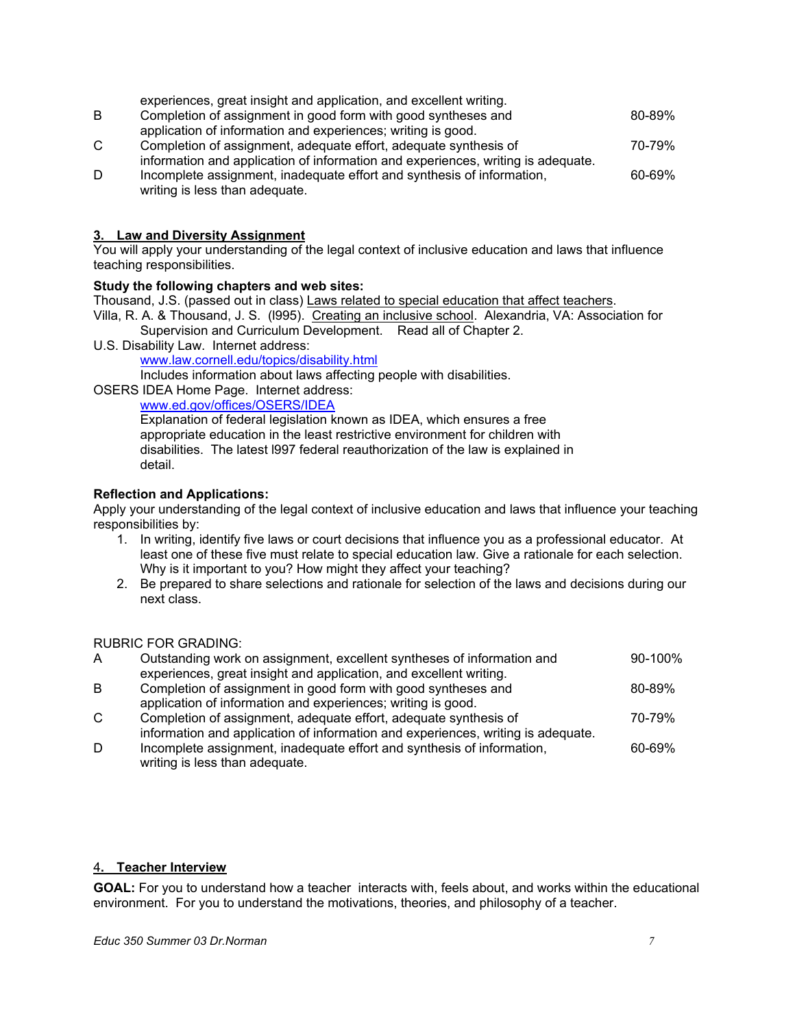|              | experiences, great insight and application, and excellent writing.               |        |
|--------------|----------------------------------------------------------------------------------|--------|
| B            | Completion of assignment in good form with good syntheses and                    | 80-89% |
|              | application of information and experiences; writing is good.                     |        |
| $\mathsf{C}$ | Completion of assignment, adequate effort, adequate synthesis of                 | 70-79% |
|              | information and application of information and experiences, writing is adequate. |        |
| D            | Incomplete assignment, inadequate effort and synthesis of information,           | 60-69% |
|              | writing is less than adequate.                                                   |        |

## **3. Law and Diversity Assignment**

You will apply your understanding of the legal context of inclusive education and laws that influence teaching responsibilities.

## **Study the following chapters and web sites:**

Thousand, J.S. (passed out in class) Laws related to special education that affect teachers. Villa, R. A. & Thousand, J. S. (l995). Creating an inclusive school. Alexandria, VA: Association for

- Supervision and Curriculum Development. Read all of Chapter 2. U.S. Disability Law. Internet address:
	- www.law.cornell.edu/topics/disability.html

Includes information about laws affecting people with disabilities.

OSERS IDEA Home Page. Internet address:

www.ed.gov/offices/OSERS/IDEA

Explanation of federal legislation known as IDEA, which ensures a free appropriate education in the least restrictive environment for children with disabilities. The latest l997 federal reauthorization of the law is explained in detail.

#### **Reflection and Applications:**

Apply your understanding of the legal context of inclusive education and laws that influence your teaching responsibilities by:

- 1. In writing, identify five laws or court decisions that influence you as a professional educator. At least one of these five must relate to special education law. Give a rationale for each selection. Why is it important to you? How might they affect your teaching?
- 2. Be prepared to share selections and rationale for selection of the laws and decisions during our next class.

## RUBRIC FOR GRADING:

| $\overline{A}$ | Outstanding work on assignment, excellent syntheses of information and           | 90-100% |
|----------------|----------------------------------------------------------------------------------|---------|
|                | experiences, great insight and application, and excellent writing.               |         |
| B              | Completion of assignment in good form with good syntheses and                    | 80-89%  |
|                | application of information and experiences; writing is good.                     |         |
| C.             | Completion of assignment, adequate effort, adequate synthesis of                 | 70-79%  |
|                | information and application of information and experiences, writing is adequate. |         |
| D              | Incomplete assignment, inadequate effort and synthesis of information,           | 60-69%  |
|                | writing is less than adequate.                                                   |         |

## 4**. Teacher Interview**

**GOAL:** For you to understand how a teacher interacts with, feels about, and works within the educational environment. For you to understand the motivations, theories, and philosophy of a teacher.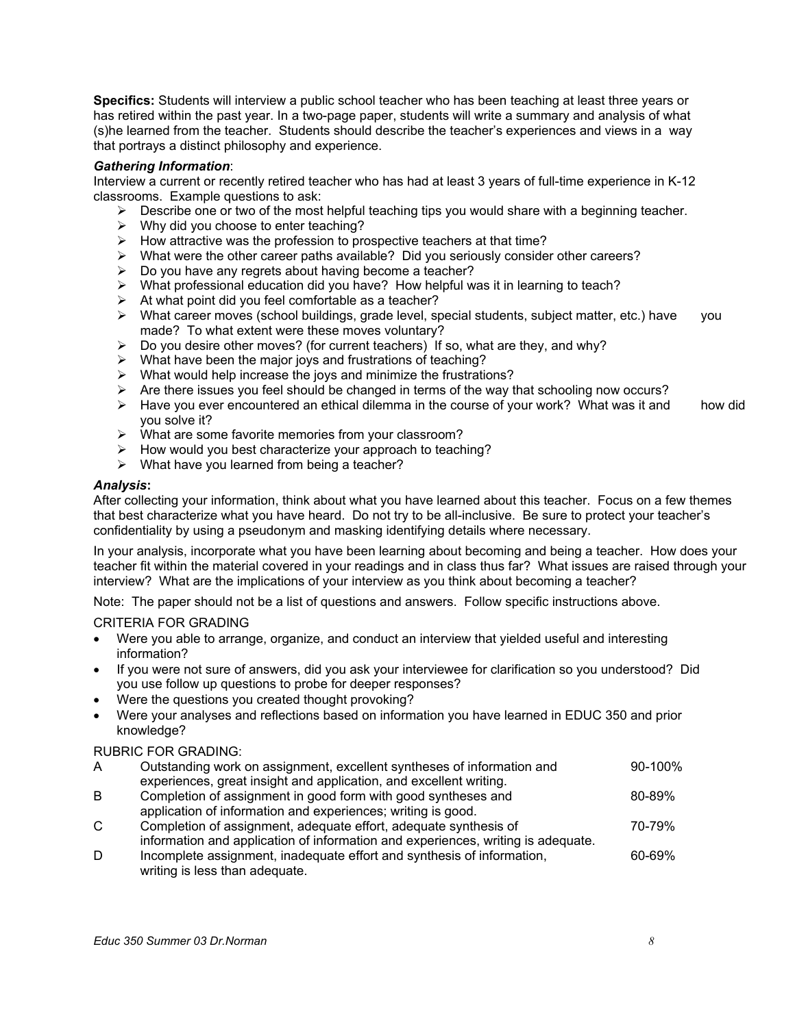**Specifics:** Students will interview a public school teacher who has been teaching at least three years or has retired within the past year. In a two-page paper, students will write a summary and analysis of what (s)he learned from the teacher. Students should describe the teacher's experiences and views in a way that portrays a distinct philosophy and experience.

#### *Gathering Information*:

Interview a current or recently retired teacher who has had at least 3 years of full-time experience in K-12 classrooms. Example questions to ask:

- $\triangleright$  Describe one or two of the most helpful teaching tips you would share with a beginning teacher.
- ¾ Why did you choose to enter teaching?
- $\triangleright$  How attractive was the profession to prospective teachers at that time?
- $\triangleright$  What were the other career paths available? Did you seriously consider other careers?
- $\triangleright$  Do you have any regrets about having become a teacher?
- ¾ What professional education did you have? How helpful was it in learning to teach?
- $\triangleright$  At what point did you feel comfortable as a teacher?
- $\triangleright$  What career moves (school buildings, grade level, special students, subject matter, etc.) have you made? To what extent were these moves voluntary?
- $\triangleright$  Do you desire other moves? (for current teachers) If so, what are they, and why?
- $\triangleright$  What have been the major joys and frustrations of teaching?
- $\triangleright$  What would help increase the joys and minimize the frustrations?
- ¾ Are there issues you feel should be changed in terms of the way that schooling now occurs?
- ▶ Have you ever encountered an ethical dilemma in the course of your work? What was it and how did you solve it?
- ¾ What are some favorite memories from your classroom?
- $\triangleright$  How would you best characterize your approach to teaching?
- $\triangleright$  What have you learned from being a teacher?

#### *Analysis***:**

After collecting your information, think about what you have learned about this teacher. Focus on a few themes that best characterize what you have heard. Do not try to be all-inclusive. Be sure to protect your teacher's confidentiality by using a pseudonym and masking identifying details where necessary.

In your analysis, incorporate what you have been learning about becoming and being a teacher. How does your teacher fit within the material covered in your readings and in class thus far? What issues are raised through your interview? What are the implications of your interview as you think about becoming a teacher?

Note: The paper should not be a list of questions and answers. Follow specific instructions above.

#### CRITERIA FOR GRADING

- Were you able to arrange, organize, and conduct an interview that yielded useful and interesting information?
- If you were not sure of answers, did you ask your interviewee for clarification so you understood? Did you use follow up questions to probe for deeper responses?
- Were the questions you created thought provoking?
- Were your analyses and reflections based on information you have learned in EDUC 350 and prior knowledge?

#### RUBRIC FOR GRADING:

| A  | Outstanding work on assignment, excellent syntheses of information and           | $90-100\%$ |
|----|----------------------------------------------------------------------------------|------------|
|    | experiences, great insight and application, and excellent writing.               |            |
| B  | Completion of assignment in good form with good syntheses and                    | 80-89%     |
|    | application of information and experiences; writing is good.                     |            |
| C. | Completion of assignment, adequate effort, adequate synthesis of                 | 70-79%     |
|    | information and application of information and experiences, writing is adequate. |            |

D Incomplete assignment, inadequate effort and synthesis of information, 60-69% writing is less than adequate.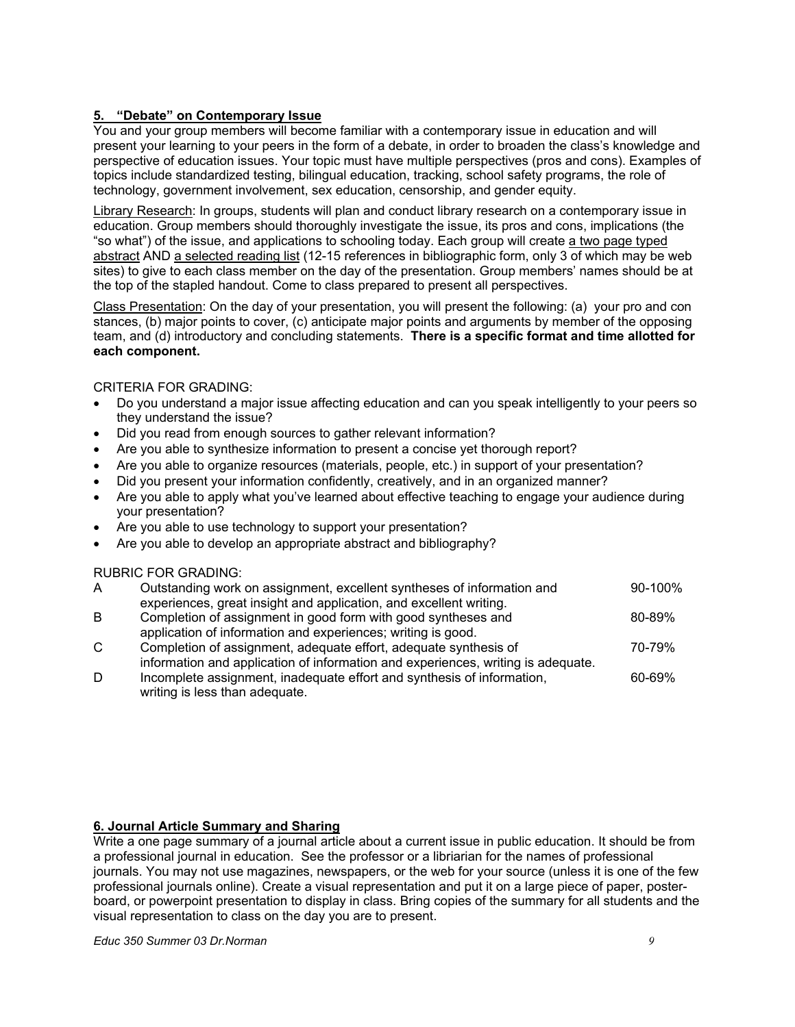## **5. "Debate" on Contemporary Issue**

You and your group members will become familiar with a contemporary issue in education and will present your learning to your peers in the form of a debate, in order to broaden the class's knowledge and perspective of education issues. Your topic must have multiple perspectives (pros and cons). Examples of topics include standardized testing, bilingual education, tracking, school safety programs, the role of technology, government involvement, sex education, censorship, and gender equity.

Library Research: In groups, students will plan and conduct library research on a contemporary issue in education. Group members should thoroughly investigate the issue, its pros and cons, implications (the "so what") of the issue, and applications to schooling today. Each group will create a two page typed abstract AND a selected reading list (12-15 references in bibliographic form, only 3 of which may be web sites) to give to each class member on the day of the presentation. Group members' names should be at the top of the stapled handout. Come to class prepared to present all perspectives.

Class Presentation: On the day of your presentation, you will present the following: (a) your pro and con stances, (b) major points to cover, (c) anticipate major points and arguments by member of the opposing team, and (d) introductory and concluding statements. **There is a specific format and time allotted for each component.** 

#### CRITERIA FOR GRADING:

- Do you understand a major issue affecting education and can you speak intelligently to your peers so they understand the issue?
- Did you read from enough sources to gather relevant information?
- Are you able to synthesize information to present a concise yet thorough report?
- Are you able to organize resources (materials, people, etc.) in support of your presentation?
- Did you present your information confidently, creatively, and in an organized manner?
- Are you able to apply what you've learned about effective teaching to engage your audience during your presentation?
- Are you able to use technology to support your presentation?
- Are you able to develop an appropriate abstract and bibliography?

#### RUBRIC FOR GRADING:

| $\mathsf{A}$ | Outstanding work on assignment, excellent syntheses of information and           | 90-100% |
|--------------|----------------------------------------------------------------------------------|---------|
|              | experiences, great insight and application, and excellent writing.               |         |
| B            | Completion of assignment in good form with good syntheses and                    | 80-89%  |
|              | application of information and experiences; writing is good.                     |         |
| $\mathsf{C}$ | Completion of assignment, adequate effort, adequate synthesis of                 | 70-79%  |
|              | information and application of information and experiences, writing is adequate. |         |
| D            | Incomplete assignment, inadequate effort and synthesis of information,           | 60-69%  |
|              | writing is less than adequate.                                                   |         |

## **6. Journal Article Summary and Sharing**

Write a one page summary of a journal article about a current issue in public education. It should be from a professional journal in education. See the professor or a libriarian for the names of professional journals. You may not use magazines, newspapers, or the web for your source (unless it is one of the few professional journals online). Create a visual representation and put it on a large piece of paper, posterboard, or powerpoint presentation to display in class. Bring copies of the summary for all students and the visual representation to class on the day you are to present.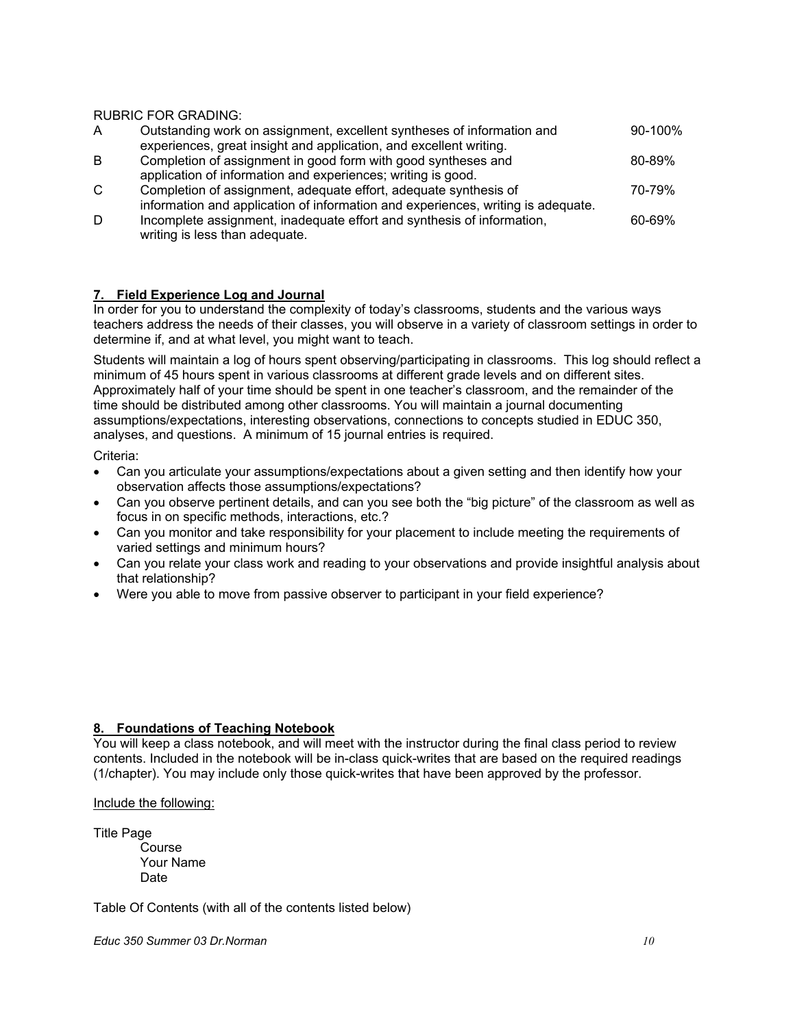RUBRIC FOR GRADING:

| $\mathsf{A}$ | Outstanding work on assignment, excellent syntheses of information and           | 90-100% |
|--------------|----------------------------------------------------------------------------------|---------|
|              | experiences, great insight and application, and excellent writing.               |         |
| B            | Completion of assignment in good form with good syntheses and                    | 80-89%  |
|              | application of information and experiences; writing is good.                     |         |
| $\mathsf{C}$ | Completion of assignment, adequate effort, adequate synthesis of                 | 70-79%  |
|              | information and application of information and experiences, writing is adequate. |         |
| D            | Incomplete assignment, inadequate effort and synthesis of information,           | 60-69%  |
|              | writing is less than adequate.                                                   |         |

#### **7. Field Experience Log and Journal**

In order for you to understand the complexity of today's classrooms, students and the various ways teachers address the needs of their classes, you will observe in a variety of classroom settings in order to determine if, and at what level, you might want to teach.

Students will maintain a log of hours spent observing/participating in classrooms. This log should reflect a minimum of 45 hours spent in various classrooms at different grade levels and on different sites. Approximately half of your time should be spent in one teacher's classroom, and the remainder of the time should be distributed among other classrooms. You will maintain a journal documenting assumptions/expectations, interesting observations, connections to concepts studied in EDUC 350, analyses, and questions. A minimum of 15 journal entries is required.

Criteria:

- Can you articulate your assumptions/expectations about a given setting and then identify how your observation affects those assumptions/expectations?
- Can you observe pertinent details, and can you see both the "big picture" of the classroom as well as focus in on specific methods, interactions, etc.?
- Can you monitor and take responsibility for your placement to include meeting the requirements of varied settings and minimum hours?
- Can you relate your class work and reading to your observations and provide insightful analysis about that relationship?
- Were you able to move from passive observer to participant in your field experience?

#### **8. Foundations of Teaching Notebook**

You will keep a class notebook, and will meet with the instructor during the final class period to review contents. Included in the notebook will be in-class quick-writes that are based on the required readings (1/chapter). You may include only those quick-writes that have been approved by the professor.

#### Include the following:

Title Page Course Your Name Date

Table Of Contents (with all of the contents listed below)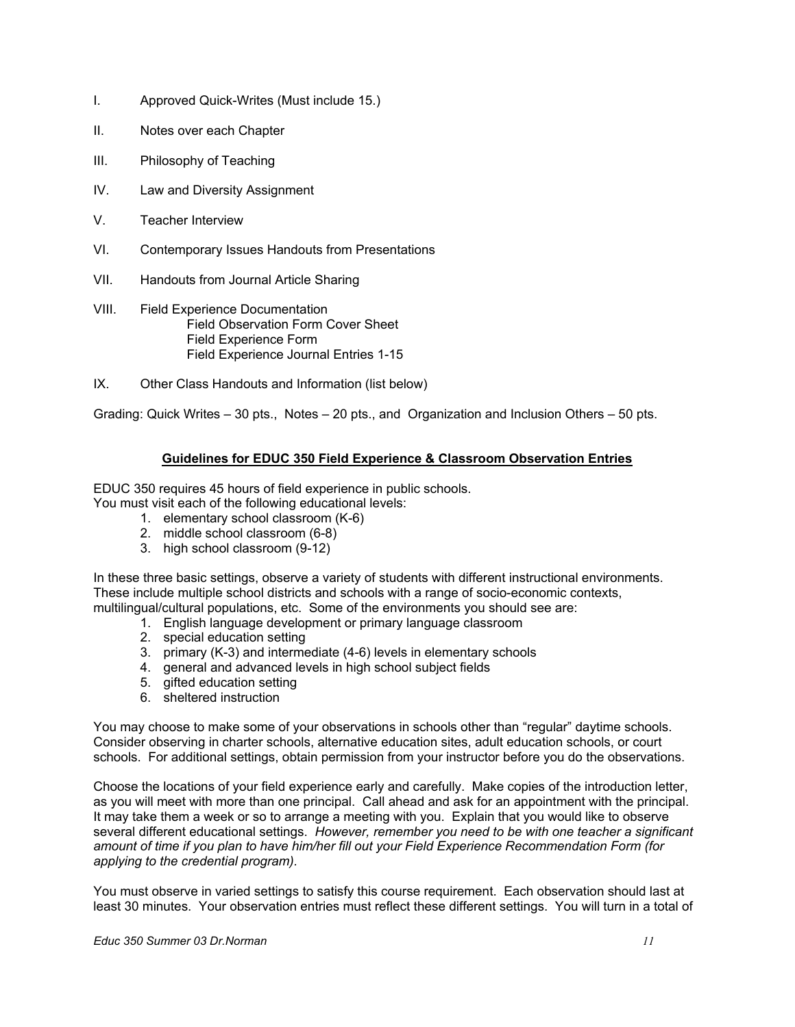- I. Approved Quick-Writes (Must include 15.)
- II. Notes over each Chapter
- III. Philosophy of Teaching
- IV. Law and Diversity Assignment
- V. Teacher Interview
- VI. Contemporary Issues Handouts from Presentations
- VII. Handouts from Journal Article Sharing
- VIII. Field Experience Documentation Field Observation Form Cover Sheet Field Experience Form Field Experience Journal Entries 1-15
- IX. Other Class Handouts and Information (list below)

Grading: Quick Writes – 30 pts., Notes – 20 pts., and Organization and Inclusion Others – 50 pts.

## **Guidelines for EDUC 350 Field Experience & Classroom Observation Entries**

EDUC 350 requires 45 hours of field experience in public schools.

You must visit each of the following educational levels:

- 1. elementary school classroom (K-6)
- 2. middle school classroom (6-8)
- 3. high school classroom (9-12)

In these three basic settings, observe a variety of students with different instructional environments. These include multiple school districts and schools with a range of socio-economic contexts, multilingual/cultural populations, etc. Some of the environments you should see are:

- 1. English language development or primary language classroom
- 2. special education setting
- 3. primary (K-3) and intermediate (4-6) levels in elementary schools
- 4. general and advanced levels in high school subject fields
- 5. gifted education setting
- 6. sheltered instruction

You may choose to make some of your observations in schools other than "regular" daytime schools. Consider observing in charter schools, alternative education sites, adult education schools, or court schools. For additional settings, obtain permission from your instructor before you do the observations.

Choose the locations of your field experience early and carefully. Make copies of the introduction letter, as you will meet with more than one principal. Call ahead and ask for an appointment with the principal. It may take them a week or so to arrange a meeting with you. Explain that you would like to observe several different educational settings. *However, remember you need to be with one teacher a significant amount of time if you plan to have him/her fill out your Field Experience Recommendation Form (for applying to the credential program).* 

You must observe in varied settings to satisfy this course requirement. Each observation should last at least 30 minutes. Your observation entries must reflect these different settings. You will turn in a total of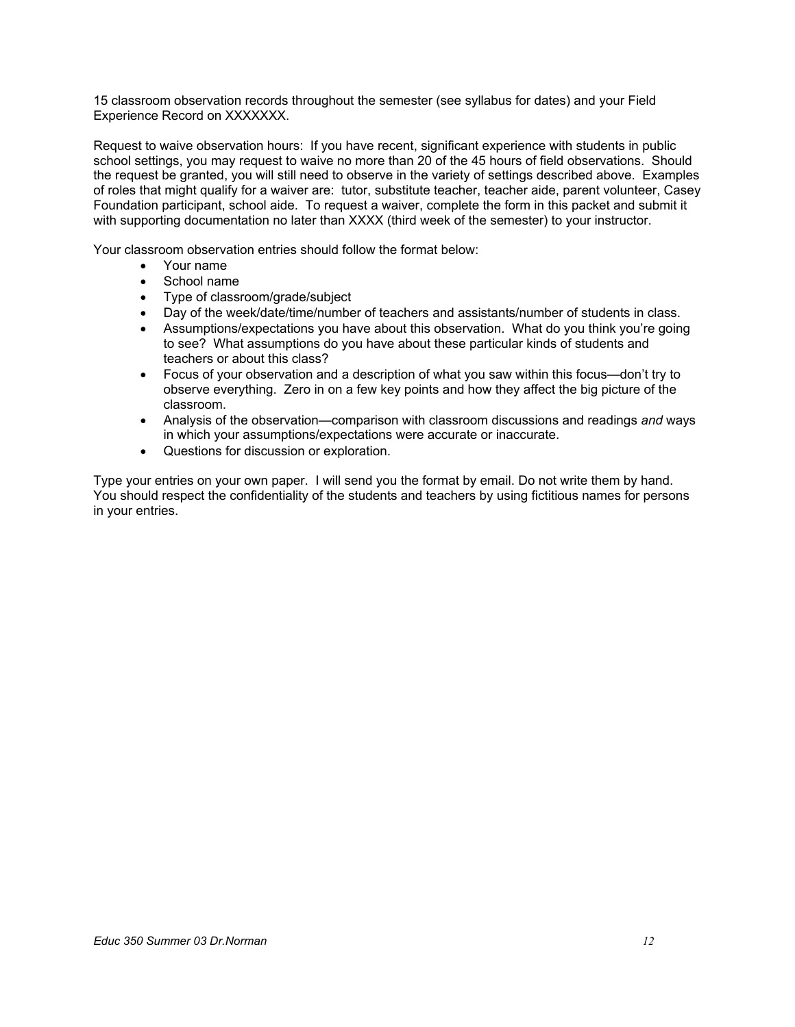15 classroom observation records throughout the semester (see syllabus for dates) and your Field Experience Record on XXXXXXX.

Request to waive observation hours: If you have recent, significant experience with students in public school settings, you may request to waive no more than 20 of the 45 hours of field observations. Should the request be granted, you will still need to observe in the variety of settings described above. Examples of roles that might qualify for a waiver are: tutor, substitute teacher, teacher aide, parent volunteer, Casey Foundation participant, school aide. To request a waiver, complete the form in this packet and submit it with supporting documentation no later than XXXX (third week of the semester) to your instructor.

Your classroom observation entries should follow the format below:

- Your name
- School name
- Type of classroom/grade/subject
- Day of the week/date/time/number of teachers and assistants/number of students in class.
- Assumptions/expectations you have about this observation. What do you think you're going to see? What assumptions do you have about these particular kinds of students and teachers or about this class?
- Focus of your observation and a description of what you saw within this focus—don't try to observe everything. Zero in on a few key points and how they affect the big picture of the classroom.
- Analysis of the observation—comparison with classroom discussions and readings *and* ways in which your assumptions/expectations were accurate or inaccurate.
- Questions for discussion or exploration.

Type your entries on your own paper. I will send you the format by email. Do not write them by hand. You should respect the confidentiality of the students and teachers by using fictitious names for persons in your entries.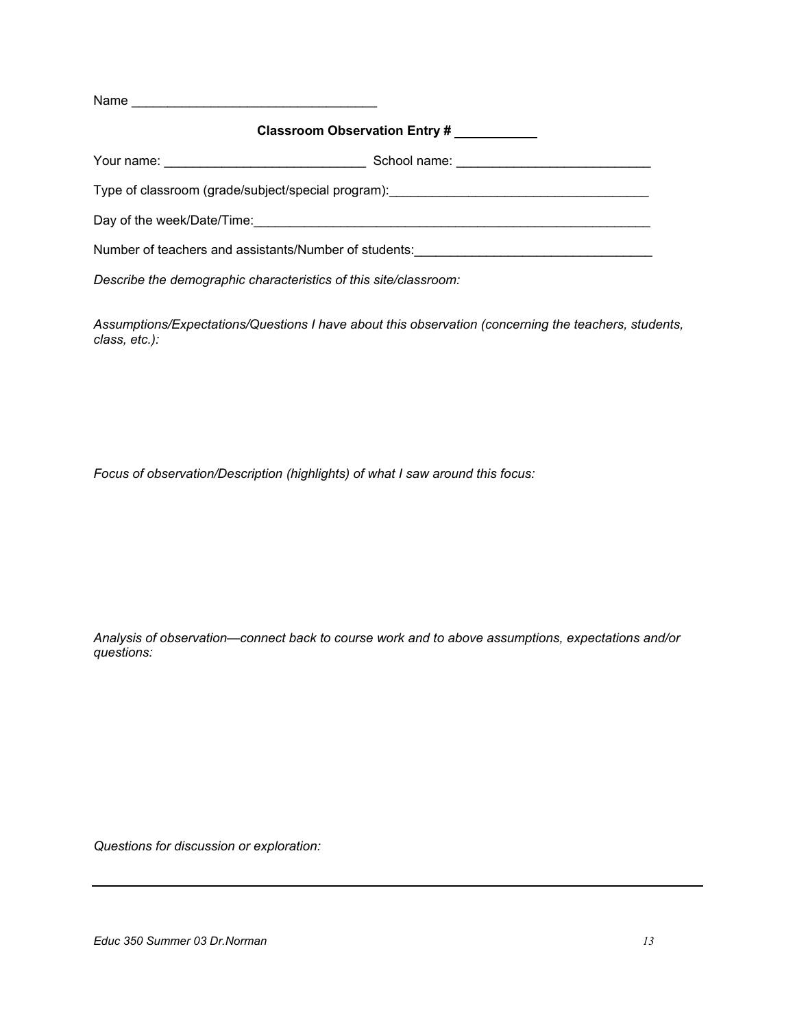| Classroom Observation Entry #                                                     |  |  |  |  |
|-----------------------------------------------------------------------------------|--|--|--|--|
|                                                                                   |  |  |  |  |
| Type of classroom (grade/subject/special program): ______________________________ |  |  |  |  |
|                                                                                   |  |  |  |  |
| Number of teachers and assistants/Number of students: ___________________________ |  |  |  |  |
| Describe the demographic characteristics of this site/classroom:                  |  |  |  |  |

*Assumptions/Expectations/Questions I have about this observation (concerning the teachers, students, class, etc.):*

*Focus of observation/Description (highlights) of what I saw around this focus:* 

*Analysis of observation—connect back to course work and to above assumptions, expectations and/or questions:* 

*Questions for discussion or exploration:*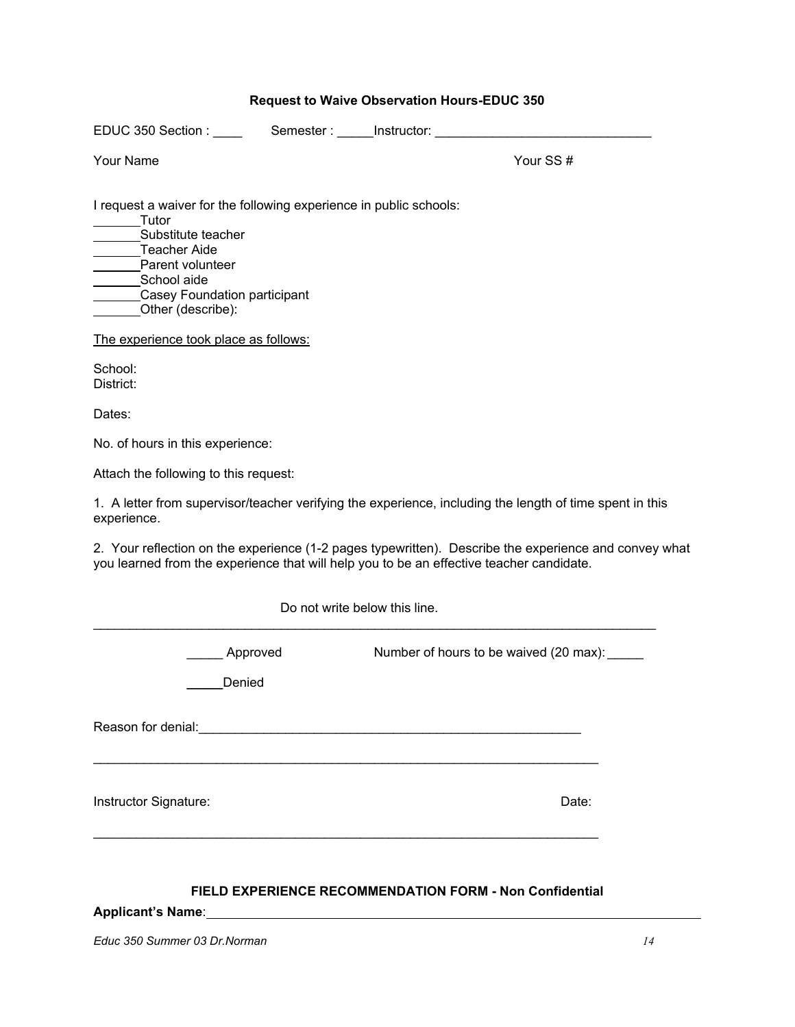| <b>Request to Waive Observation Hours-EDUC 350</b>                                                                                                                                                                  |
|---------------------------------------------------------------------------------------------------------------------------------------------------------------------------------------------------------------------|
| EDUC 350 Section : ______  Semester : _____Instructor: _________________________                                                                                                                                    |
| Your SS#<br><b>Your Name</b>                                                                                                                                                                                        |
| I request a waiver for the following experience in public schools:<br><b>Tutor</b><br>Substitute teacher<br>Teacher Aide<br>Parent volunteer<br>School aide<br>Casey Foundation participant<br>___Other (describe): |
| The experience took place as follows:                                                                                                                                                                               |
| School:<br>District:                                                                                                                                                                                                |
| Dates:                                                                                                                                                                                                              |
| No. of hours in this experience:                                                                                                                                                                                    |
| Attach the following to this request:                                                                                                                                                                               |
| 1. A letter from supervisor/teacher verifying the experience, including the length of time spent in this<br>experience.                                                                                             |
| 2. Your reflection on the experience (1-2 pages typewritten). Describe the experience and convey what<br>you learned from the experience that will help you to be an effective teacher candidate.                   |
| Do not write below this line.                                                                                                                                                                                       |
| Approved<br>Number of hours to be waived (20 max): ______                                                                                                                                                           |
| Denied                                                                                                                                                                                                              |
| Reason for denial: <b>Example 2018</b>                                                                                                                                                                              |

Instructor Signature: Date: Date: Date: Date: Date: Date: Date: Date: Date: Date: Date: Date: Date: Date: Date: Date: Date: Date: Date: Date: Date: Date: Date: Date: Date: Date: Date: Date: Date: Date: Date: Date: Date: Da

# **FIELD EXPERIENCE RECOMMENDATION FORM - Non Confidential**

\_\_\_\_\_\_\_\_\_\_\_\_\_\_\_\_\_\_\_\_\_\_\_\_\_\_\_\_\_\_\_\_\_\_\_\_\_\_\_\_\_\_\_\_\_\_\_\_\_\_\_\_\_\_\_\_\_\_\_\_\_\_\_\_\_\_\_\_\_\_

**Applicant's Name**: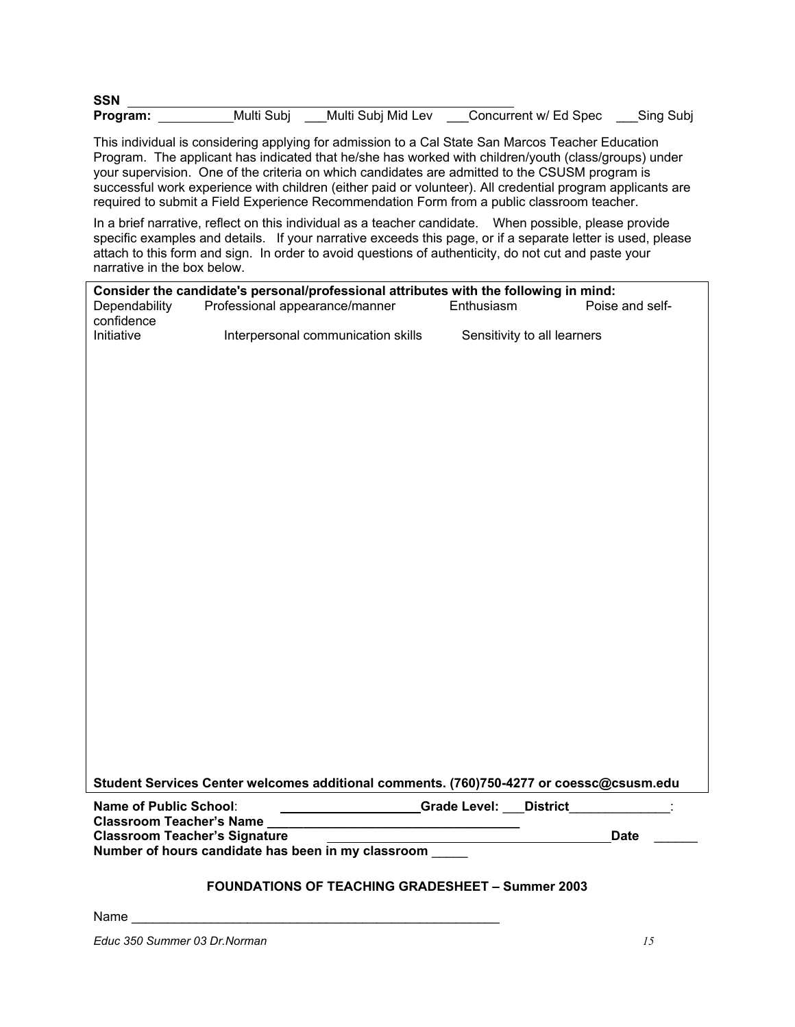| <b>SSN</b> |            |                    |                       |              |
|------------|------------|--------------------|-----------------------|--------------|
| Program:   | Multi Subj | Multi Subj Mid Lev | Concurrent w/ Ed Spec | ___Sing Subj |

This individual is considering applying for admission to a Cal State San Marcos Teacher Education Program. The applicant has indicated that he/she has worked with children/youth (class/groups) under your supervision. One of the criteria on which candidates are admitted to the CSUSM program is successful work experience with children (either paid or volunteer). All credential program applicants are required to submit a Field Experience Recommendation Form from a public classroom teacher.

In a brief narrative, reflect on this individual as a teacher candidate. When possible, please provide specific examples and details. If your narrative exceeds this page, or if a separate letter is used, please attach to this form and sign. In order to avoid questions of authenticity, do not cut and paste your narrative in the box below.

| Dependability<br>confidence          | Consider the candidate's personal/professional attributes with the following in mind:<br>Professional appearance/manner | Enthusiasm                   |                             | Poise and self- |
|--------------------------------------|-------------------------------------------------------------------------------------------------------------------------|------------------------------|-----------------------------|-----------------|
| Initiative                           | Interpersonal communication skills                                                                                      |                              | Sensitivity to all learners |                 |
|                                      |                                                                                                                         |                              |                             |                 |
|                                      |                                                                                                                         |                              |                             |                 |
|                                      |                                                                                                                         |                              |                             |                 |
|                                      |                                                                                                                         |                              |                             |                 |
|                                      |                                                                                                                         |                              |                             |                 |
|                                      |                                                                                                                         |                              |                             |                 |
|                                      |                                                                                                                         |                              |                             |                 |
|                                      |                                                                                                                         |                              |                             |                 |
|                                      |                                                                                                                         |                              |                             |                 |
|                                      |                                                                                                                         |                              |                             |                 |
|                                      |                                                                                                                         |                              |                             |                 |
|                                      |                                                                                                                         |                              |                             |                 |
|                                      |                                                                                                                         |                              |                             |                 |
|                                      |                                                                                                                         |                              |                             |                 |
|                                      |                                                                                                                         |                              |                             |                 |
|                                      |                                                                                                                         |                              |                             |                 |
|                                      |                                                                                                                         |                              |                             |                 |
|                                      |                                                                                                                         |                              |                             |                 |
|                                      |                                                                                                                         |                              |                             |                 |
|                                      |                                                                                                                         |                              |                             |                 |
|                                      |                                                                                                                         |                              |                             |                 |
|                                      |                                                                                                                         |                              |                             |                 |
|                                      |                                                                                                                         |                              |                             |                 |
|                                      |                                                                                                                         |                              |                             |                 |
|                                      |                                                                                                                         |                              |                             |                 |
|                                      |                                                                                                                         |                              |                             |                 |
|                                      |                                                                                                                         |                              |                             |                 |
|                                      |                                                                                                                         |                              |                             |                 |
|                                      |                                                                                                                         |                              |                             |                 |
|                                      |                                                                                                                         |                              |                             |                 |
|                                      | Student Services Center welcomes additional comments. (760)750-4277 or coessc@csusm.edu                                 |                              |                             |                 |
|                                      |                                                                                                                         |                              |                             |                 |
| <b>Name of Public School:</b>        | <u> 1980 - Johann Barbara, martxa a</u>                                                                                 | <b>Grade Level: District</b> |                             |                 |
| <b>Classroom Teacher's Name</b>      |                                                                                                                         |                              |                             |                 |
| <b>Classroom Teacher's Signature</b> |                                                                                                                         |                              |                             | <b>Date</b>     |
|                                      | Number of hours candidate has been in my classroom                                                                      |                              |                             |                 |
|                                      |                                                                                                                         |                              |                             |                 |

#### **FOUNDATIONS OF TEACHING GRADESHEET – Summer 2003**

Name

*Educ 350 Summer 03 Dr.Norman 15*